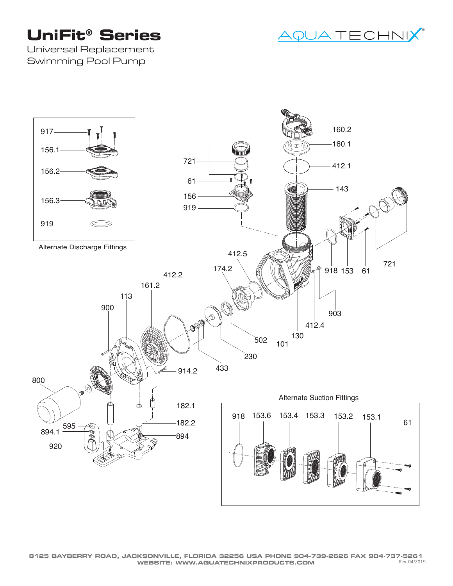## **UniFit® Series**



Universal Replacement Swimming Pool Pump

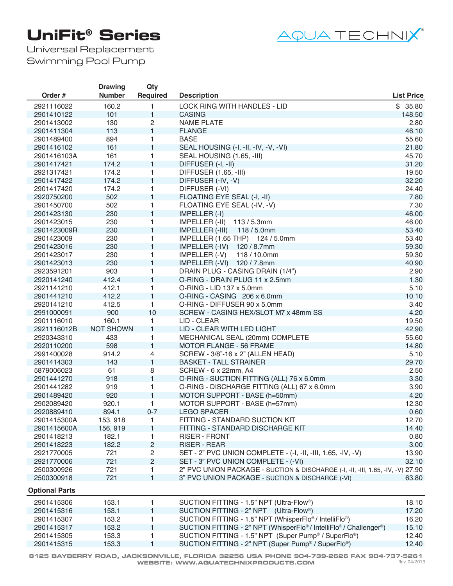## **UniFit® Series**



Universal Replacement Swimming Pool Pump

|                       | <b>Drawing</b>   | Qty             |                                                                                 |                   |
|-----------------------|------------------|-----------------|---------------------------------------------------------------------------------|-------------------|
| Order #               | <b>Number</b>    | <b>Required</b> | <b>Description</b>                                                              | <b>List Price</b> |
| 2921116022            | 160.2            | 1               | LOCK RING WITH HANDLES - LID                                                    | \$35.80           |
| 2901410122            | 101              | $\mathbf{1}$    | <b>CASING</b>                                                                   | 148.50            |
| 2901413002            | 130              | $\overline{c}$  | <b>NAME PLATE</b>                                                               | 2.80              |
| 2901411304            | 113              | $\mathbf{1}$    | <b>FLANGE</b>                                                                   | 46.10             |
| 2901489400            | 894              | 1               | <b>BASE</b>                                                                     | 55.60             |
| 2901416102            | 161              | $\mathbf{1}$    | SEAL HOUSING (-I, -II, -IV, -V, -VI)                                            | 21.80             |
| 2901416103A           | 161              | 1               | SEAL HOUSING (1.65, -III)                                                       | 45.70             |
| 2901417421            | 174.2            | $\mathbf{1}$    | DIFFUSER (-I, -II)                                                              | 31.20             |
| 2921317421            | 174.2            | 1               | DIFFUSER (1.65, -III)                                                           | 19.50             |
| 2901417422            | 174.2            | $\mathbf{1}$    | DIFFUSER (-IV, -V)                                                              | 32.20             |
| 2901417420            | 174.2            | 1               | DIFFUSER (-VI)                                                                  | 24.40             |
| 2920750200            | 502              | $\mathbf{1}$    | FLOATING EYE SEAL (-I, -II)                                                     | 7.80              |
| 2901450700            | 502              | 1               | FLOATING EYE SEAL (-IV, -V)                                                     | 7.30              |
| 2901423130            | 230              | $\mathbf{1}$    | IMPELLER (-I)                                                                   | 46.00             |
| 2901423015            | 230              | 1               | IMPELLER (-II)<br>113 / 5.3mm                                                   | 46.00             |
| 2901423009R           | 230              | $\mathbf{1}$    | IMPELLER (-III) 118 / 5.0mm                                                     | 53.40             |
| 2901423009            | 230              | $\mathbf{1}$    | IMPELLER (1.65 THP) 124 / 5.0mm                                                 | 53.40             |
| 2901423016            | 230              | $\mathbf{1}$    | IMPELLER (-IV) 120 / 8.7mm                                                      | 59.30             |
| 2901423017            | 230              | 1               | 118 / 10.0mm<br>IMPELLER (-V)                                                   | 59.30             |
| 2901423013            | 230              | $\mathbf{1}$    | IMPELLER (-VI) 120 / 7.8mm                                                      | 40.90             |
| 2923591201            | 903              | 1               | DRAIN PLUG - CASING DRAIN (1/4")                                                | 2.90              |
| 2920141240            | 412.4            | $\mathbf{1}$    | O-RING - DRAIN PLUG 11 x 2.5mm                                                  | 1.30              |
| 2921141210            | 412.1            | 1               | O-RING - LID 137 x 5.0mm                                                        | 5.10              |
| 2901441210            | 412.2            | $\mathbf{1}$    | O-RING - CASING 206 x 6.0mm                                                     | 10.10             |
| 2920141210            | 412.5            | $\mathbf{1}$    | O-RING - DIFFUSER 90 x 5.0mm                                                    | 3.40              |
| 2991000091            | 900              | 10              | SCREW - CASING HEX/SLOT M7 x 48mm SS                                            | 4.20              |
| 2901116010            | 160.1            | 1               | LID - CLEAR                                                                     | 19.50             |
| 2921116012B           | <b>NOT SHOWN</b> | $\mathbf{1}$    | LID - CLEAR WITH LED LIGHT                                                      | 42.90             |
| 2920343310            | 433              | 1               | MECHANICAL SEAL (20mm) COMPLETE                                                 | 55.60             |
| 2920110200            | 598              | $\mathbf{1}$    | <b>MOTOR FLANGE - 56 FRAME</b>                                                  | 14.80             |
| 2991400028            | 914.2            | 4               | SCREW - 3/8"-16 x 2" (ALLEN HEAD)                                               | 5.10              |
| 2901414303            | 143              | $\mathbf{1}$    | <b>BASKET - TALL STRAINER</b>                                                   | 29.70             |
| 5879006023            | 61               | 8               | SCREW - 6 x 22mm, A4                                                            | 2.50              |
| 2901441270            | 918              | $\mathbf{1}$    | O-RING - SUCTION FITTING (ALL) 76 x 6.0mm                                       | 3.30              |
| 2901441282            | 919              | 1               | O-RING - DISCHARGE FITTING (ALL) 67 x 6.0mm                                     | 3.90              |
| 2901489420            | 920              | $\mathbf{1}$    | MOTOR SUPPORT - BASE (h=50mm)                                                   | 4.20              |
| 2902089420            | 920.1            | $\mathbf{1}$    | MOTOR SUPPORT - BASE (h=57mm)                                                   | 12.30             |
| 2920889410            | 894.1            | $0 - 7$         | <b>LEGO SPACER</b>                                                              | 0.60              |
| 2901415300A           | 153, 918         | 1               | FITTING - STANDARD SUCTION KIT                                                  | 12.70             |
| 2901415600A           | 156, 919         | 1               | FITTING - STANDARD DISCHARGE KIT                                                | 14.40             |
| 2901418213            | 182.1            | 1               | <b>RISER - FRONT</b>                                                            | 0.80              |
| 2901418223            | 182.2            | $\overline{c}$  | <b>RISER - REAR</b>                                                             | 3.00              |
| 2921770005            | 721              | $\overline{c}$  | SET - 2" PVC UNION COMPLETE - (-1, -11, -111, 1.65, -1V, -V)                    | 13.90             |
| 2921770006            | 721              | $\overline{c}$  | SET - 3" PVC UNION COMPLETE - (-VI)                                             | 32.10             |
| 2500300926            | 721              | 1               | 2" PVC UNION PACKAGE - SUCTION & DISCHARGE (-I, -II, -III, 1.65, -IV, -V) 27.90 |                   |
| 2500300918            | 721              | $\mathbf{1}$    | 3" PVC UNION PACKAGE - SUCTION & DISCHARGE (-VI)                                | 63.80             |
| <b>Optional Parts</b> |                  |                 |                                                                                 |                   |
| 2901415306            | 153.1            | 1               | SUCTION FITTING - 1.5" NPT (Ultra-Flow <sup>®</sup> )                           | 18.10             |
| 2901415316            | 153.1            | 1               | SUCTION FITTING - 2" NPT (Ultra-Flow®)                                          | 17.20             |
| 2901415307            | 153.2            | 1               | SUCTION FITTING - 1.5" NPT (WhisperFlo®/IntelliFlo®)                            | 16.20             |
| 2901415317            | 153.2            | 1               | SUCTION FITTING - 2" NPT (WhisperFlo®/ IntelliFlo®/ Challenger®)                | 15.10             |
| 2901415305            | 153.3            | 1               | SUCTION FITTING - 1.5" NPT (Super Pump® / SuperFlo®)                            | 12.40             |
| 2901415315            | 153.3            | 1               | SUCTION FITTING - 2" NPT (Super Pump® / SuperFlo®)                              | 12.40             |
|                       |                  |                 |                                                                                 |                   |